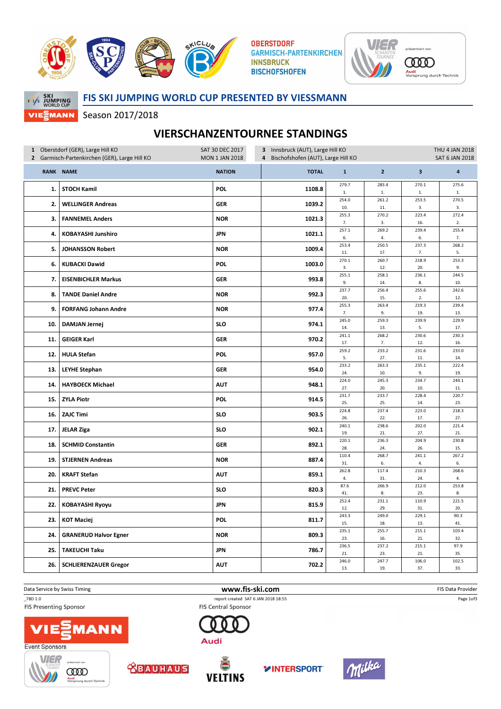

**OBERSTDORF GARMISCH-PARTENKIRCHEN INNSBRUCK BISCHOFSHOFEN** 



**COOD** <mark>Audi</mark><br>Vorsprung durch Technik



## FIS SKI JUMPING WORLD CUP PRESENTED BY VIESSMANN

Season 2017/2018

## VIERSCHANZENTOURNEE STANDINGS

| 1 Oberstdorf (GER), Large Hill KO             |                              | 3 Innsbruck (AUT), Large Hill KO<br>SAT 30 DEC 2017           |              |              |                       |               | THU 4 JAN 2018          |  |
|-----------------------------------------------|------------------------------|---------------------------------------------------------------|--------------|--------------|-----------------------|---------------|-------------------------|--|
| 2 Garmisch-Partenkirchen (GER), Large Hill KO |                              | <b>MON 1 JAN 2018</b><br>4 Bischofshofen (AUT), Large Hill KO |              |              | <b>SAT 6 JAN 2018</b> |               |                         |  |
|                                               | RANK NAME                    | <b>NATION</b>                                                 | <b>TOTAL</b> | $\mathbf{1}$ | $\overline{2}$        | $\mathbf{3}$  | 4                       |  |
| 1.                                            | <b>STOCH Kamil</b>           | <b>POL</b>                                                    | 1108.8       | 279.7<br>1.  | 283.4<br>$1. \,$      | 270.1<br>$1.$ | 275.6<br>$\mathbf{1}$ . |  |
| 2.                                            | <b>WELLINGER Andreas</b>     | <b>GER</b>                                                    | 1039.2       | 254.0<br>10. | 261.2<br>11.          | 253.5<br>3.   | 270.5<br>3.             |  |
| 3.                                            | <b>FANNEMEL Anders</b>       | <b>NOR</b>                                                    | 1021.3       | 255.3<br>7.  | 270.2<br>3.           | 223.4<br>16.  | 272.4<br>2.             |  |
| 4.                                            | <b>KOBAYASHI Junshiro</b>    | <b>JPN</b>                                                    | 1021.1       | 257.1<br>6.  | 269.2<br>4.           | 239.4<br>6.   | 255.4<br>7.             |  |
| 5.                                            | <b>JOHANSSON Robert</b>      | <b>NOR</b>                                                    | 1009.4       | 253.4<br>11. | 250.5<br>17.          | 237.3<br>7.   | 268.2<br>5.             |  |
| 6.                                            | <b>KUBACKI Dawid</b>         | <b>POL</b>                                                    | 1003.0       | 270.1<br>3.  | 260.7<br>12.          | 218.9<br>20.  | 253.3<br>9.             |  |
| 7.                                            | <b>EISENBICHLER Markus</b>   | <b>GER</b>                                                    | 993.8        | 255.1        | 258.1                 | 236.1         | 244.5                   |  |
| 8.                                            | <b>TANDE Daniel Andre</b>    | <b>NOR</b>                                                    | 992.3        | 9.<br>237.7  | 14.<br>256.4          | 8.<br>255.6   | 10.<br>242.6            |  |
| 9.                                            | <b>FORFANG Johann Andre</b>  | <b>NOR</b>                                                    | 977.4        | 20.<br>255.3 | 15.<br>263.4          | 2.<br>219.3   | 12.<br>239.4            |  |
| 10.                                           | <b>DAMJAN Jernej</b>         | <b>SLO</b>                                                    | 974.1        | 7.<br>245.0  | 9.<br>259.3           | 19.<br>239.9  | 13.<br>229.9            |  |
| 11.                                           | <b>GEIGER Karl</b>           | <b>GER</b>                                                    | 970.2        | 14.<br>241.1 | 13.<br>268.2          | 5.<br>230.6   | 17.<br>230.3            |  |
| 12.                                           | <b>HULA Stefan</b>           | <b>POL</b>                                                    | 957.0        | 17.<br>259.2 | 7.<br>233.2           | 12.<br>231.6  | 16.<br>233.0            |  |
|                                               |                              |                                                               |              | 5.<br>233.2  | 27.<br>263.3          | 11.<br>235.1  | 14.<br>222.4            |  |
| 13.                                           | <b>LEYHE Stephan</b>         | <b>GER</b>                                                    | 954.0        | 24.          | 10.                   | 9.            | 19.                     |  |
| 14.                                           | <b>HAYBOECK Michael</b>      | <b>AUT</b>                                                    | 948.1        | 224.0<br>27. | 245.3<br>20.          | 234.7<br>10.  | 244.1<br>11.            |  |
| 15.                                           | <b>ZYLA Piotr</b>            | <b>POL</b>                                                    | 914.5        | 231.7<br>25. | 233.7<br>25.          | 228.4<br>14.  | 220.7<br>23.            |  |
| 16.                                           | <b>ZAJC Timi</b>             | <b>SLO</b>                                                    | 903.5        | 224.8<br>26. | 237.4<br>22.          | 223.0<br>17.  | 218.3<br>27.            |  |
| 17.                                           | <b>JELAR Ziga</b>            | <b>SLO</b>                                                    | 902.1        | 240.1<br>19. | 238.6<br>21.          | 202.0<br>27.  | 221.4<br>21.            |  |
| 18.                                           | <b>SCHMID Constantin</b>     | <b>GER</b>                                                    | 892.1        | 220.1<br>28. | 236.3<br>24.          | 204.9<br>26.  | 230.8<br>15.            |  |
| 19.                                           | <b>STJERNEN Andreas</b>      | <b>NOR</b>                                                    | 887.4        | 110.4<br>31. | 268.7<br>6.           | 241.1<br>4.   | 267.2<br>6.             |  |
| 20.                                           | <b>KRAFT Stefan</b>          | <b>AUT</b>                                                    | 859.1        | 262.8<br>4.  | 117.4<br>31.          | 210.3<br>24.  | 268.6<br>4.             |  |
| 21.                                           | <b>PREVC Peter</b>           | <b>SLO</b>                                                    | 820.3        | 87.6<br>41.  | 266.9<br>8.           | 212.0<br>23.  | 253.8<br>8.             |  |
| 22.                                           | <b>KOBAYASHI Ryoyu</b>       | <b>JPN</b>                                                    | 815.9        | 252.4<br>12. | 231.1<br>29.          | 110.9<br>31.  | 221.5<br>20.            |  |
| 23.                                           | <b>KOT Maciej</b>            | POL                                                           | 811.7        | 243.3<br>15. | 249.0<br>18.          | 229.1<br>13.  | 90.3<br>41.             |  |
| 24.                                           | <b>GRANERUD Halvor Egner</b> | <b>NOR</b>                                                    | 809.3        | 235.1<br>23. | 255.7<br>16.          | 215.1<br>21.  | 103.4<br>32.            |  |
| 25.                                           | <b>TAKEUCHI Taku</b>         | <b>JPN</b>                                                    | 786.7        | 236.5<br>21. | 237.2<br>23.          | 215.1<br>21.  | 97.9<br>35.             |  |
|                                               |                              |                                                               |              | 246.0        | 247.7                 | 106.0         | 102.5                   |  |
| 26.                                           | <b>SCHLIERENZAUER Gregor</b> | <b>AUT</b>                                                    | 702.2        | 13.          | 19.                   | 37.           | 33.                     |  |

Data Service by Swiss Timing **EXECUTE:** The Same of the W**WW.fis-ski.com** FIS Data Provider FIS Data Provider

\_78D 1.0 report created SAT 6 JAN 2018 18:55

**FIS Presenting Sponsor** 









Audi

**FIS Central Sponsor** 





Page 1of3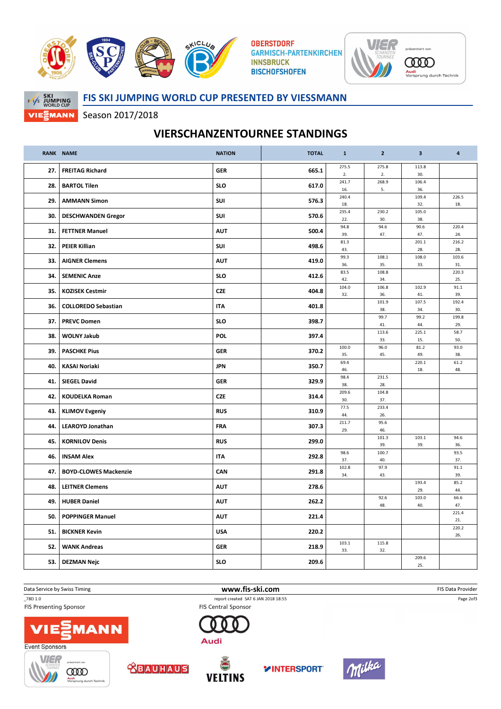

**OBERSTDORF GARMISCH-PARTENKIRCHEN INNSBRUCK BISCHOFSHOFEN** 





FIS SKI JUMPING WORLD CUP PRESENTED BY VIESSMANN

Season 2017/2018

## VIERSCHANZENTOURNEE STANDINGS

|     | RANK NAME                    | <b>NATION</b> | <b>TOTAL</b> | $\mathbf{1}$ | $\overline{2}$ | $\overline{\mathbf{3}}$ | 4            |
|-----|------------------------------|---------------|--------------|--------------|----------------|-------------------------|--------------|
| 27. | <b>FREITAG Richard</b>       | <b>GER</b>    | 665.1        | 275.5<br>2.  | 275.8<br>2.    | 113.8<br>30.            |              |
| 28. | <b>BARTOL Tilen</b>          | <b>SLO</b>    | 617.0        | 241.7<br>16. | 268.9<br>5.    | 106.4<br>36.            |              |
| 29. | <b>AMMANN Simon</b>          | SUI           | 576.3        | 240.4        |                | 109.4                   | 226.5        |
|     |                              |               |              | 18.<br>235.4 | 230.2          | 32.<br>105.0            | 18.          |
| 30. | <b>DESCHWANDEN Gregor</b>    | SUI           | 570.6        | 22.          | 30.            | 38.                     | 220.4        |
| 31. | <b>FETTNER Manuel</b>        | <b>AUT</b>    | 500.4        | 94.8<br>39.  | 94.6<br>47.    | 90.6<br>47.             | 24.          |
| 32. | <b>PEIER Killian</b>         | <b>SUI</b>    | 498.6        | 81.3<br>43.  |                | 201.1<br>28.            | 216.2<br>28. |
| 33. | <b>AIGNER Clemens</b>        | <b>AUT</b>    | 419.0        | 99.3<br>36.  | 108.1<br>35.   | 108.0<br>33.            | 103.6<br>31. |
| 34. | <b>SEMENIC Anze</b>          | <b>SLO</b>    | 412.6        | 83.5         | 108.8          |                         | 220.3        |
|     |                              |               |              | 42.<br>104.0 | 34.<br>106.8   | 102.9                   | 25.<br>91.1  |
| 35. | <b>KOZISEK Cestmir</b>       | <b>CZE</b>    | 404.8        | 32.          | 36.            | 41.                     | 39.          |
| 36. | <b>COLLOREDO Sebastian</b>   | ITA           | 401.8        |              | 101.9<br>38.   | 107.5<br>34.            | 192.4<br>30. |
| 37. | <b>PREVC Domen</b>           | <b>SLO</b>    | 398.7        |              | 99.7<br>41.    | 99.2<br>44.             | 199.8<br>29. |
| 38. | <b>WOLNY Jakub</b>           | <b>POL</b>    | 397.4        |              | 113.6<br>33.   | 225.1<br>15.            | 58.7<br>50.  |
| 39. | <b>PASCHKE Pius</b>          | <b>GER</b>    | 370.2        | 100.0        | 96.0           | 81.2                    | 93.0         |
|     |                              |               |              | 35.<br>69.4  | 45.            | 49.<br>220.1            | 38.<br>61.2  |
| 40. | <b>KASAI Noriaki</b>         | <b>JPN</b>    | 350.7        | 46.          |                | 18.                     | 48.          |
| 41. | <b>SIEGEL David</b>          | <b>GER</b>    | 329.9        | 98.4<br>38.  | 231.5<br>28.   |                         |              |
| 42. | <b>KOUDELKA Roman</b>        | <b>CZE</b>    | 314.4        | 209.6<br>30. | 104.8<br>37.   |                         |              |
| 43. | <b>KLIMOV Evgeniy</b>        | <b>RUS</b>    | 310.9        | 77.5<br>44.  | 233.4<br>26.   |                         |              |
| 44. | <b>LEAROYD Jonathan</b>      | <b>FRA</b>    | 307.3        | 211.7<br>29. | 95.6<br>46.    |                         |              |
| 45. | <b>KORNILOV Denis</b>        | <b>RUS</b>    | 299.0        |              | 101.3<br>39.   | 103.1<br>39.            | 94.6<br>36.  |
| 46. | <b>INSAM Alex</b>            | <b>ITA</b>    | 292.8        | 98.6         | 100.7          |                         | 93.5         |
|     |                              |               |              | 37.<br>102.8 | 40.<br>97.9    |                         | 37.<br>91.1  |
| 47. | <b>BOYD-CLOWES Mackenzie</b> | CAN           | 291.8        | 34.          | 43.            | 193.4                   | 39.<br>85.2  |
| 48. | <b>LEITNER Clemens</b>       | <b>AUT</b>    | 278.6        |              |                | 29.                     | 44.          |
| 49. | <b>HUBER Daniel</b>          | <b>AUT</b>    | 262.2        |              | 92.6<br>48.    | 103.0<br>40.            | 66.6<br>47.  |
| 50. | <b>POPPINGER Manuel</b>      | <b>AUT</b>    | 221.4        |              |                |                         | 221.4<br>21. |
| 51. | <b>BICKNER Kevin</b>         | <b>USA</b>    | 220.2        |              |                |                         | 220.2<br>26. |
| 52. | <b>WANK Andreas</b>          | <b>GER</b>    | 218.9        | 103.1<br>33. | 115.8<br>32.   |                         |              |
| 53. | <b>DEZMAN Nejc</b>           | <b>SLO</b>    | 209.6        |              |                | 209.6<br>25.            |              |
|     |                              |               |              |              |                |                         |              |



**FIS Presenting Sponsor** 



Data Service by Swiss Timing **EXECUTE:** The Same of the W**WW.fis-ski.com** FIS Data Provider FIS Data Provider \_78D 1.0 report created SAT 6 JAN 2018 18:55

**FIS Central Sponsor** 















Page 2of3